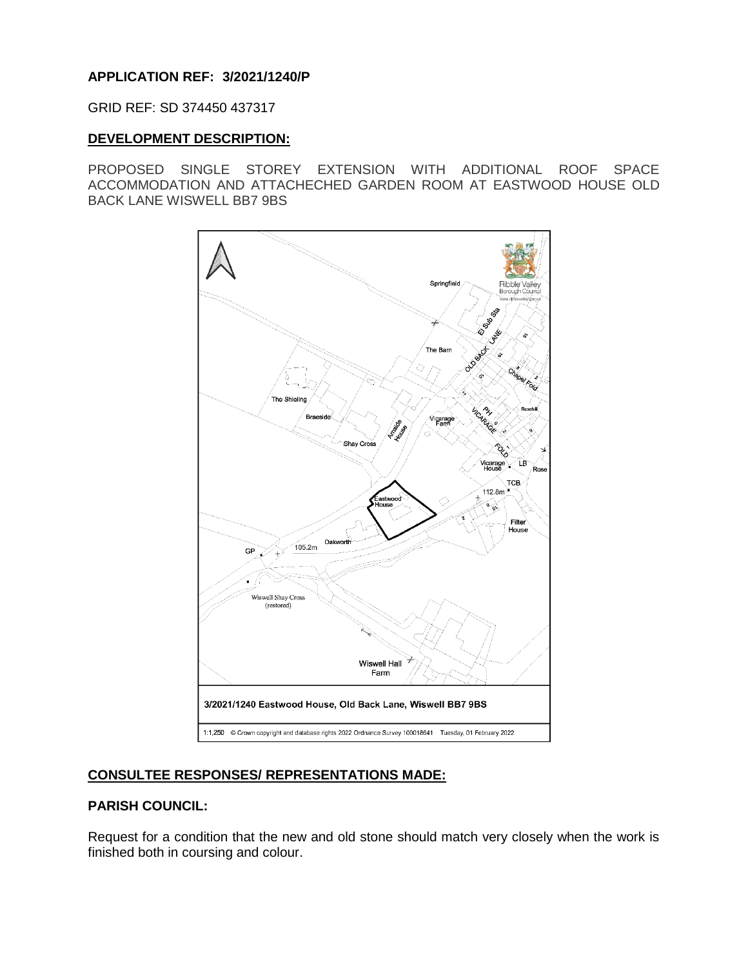# **APPLICATION REF: 3/2021/1240/P**

GRID REF: SD 374450 437317

## **DEVELOPMENT DESCRIPTION:**

PROPOSED SINGLE STOREY EXTENSION WITH ADDITIONAL ROOF SPACE ACCOMMODATION AND ATTACHECHED GARDEN ROOM AT EASTWOOD HOUSE OLD BACK LANE WISWELL BB7 9BS



# **CONSULTEE RESPONSES/ REPRESENTATIONS MADE:**

## **PARISH COUNCIL:**

Request for a condition that the new and old stone should match very closely when the work is finished both in coursing and colour.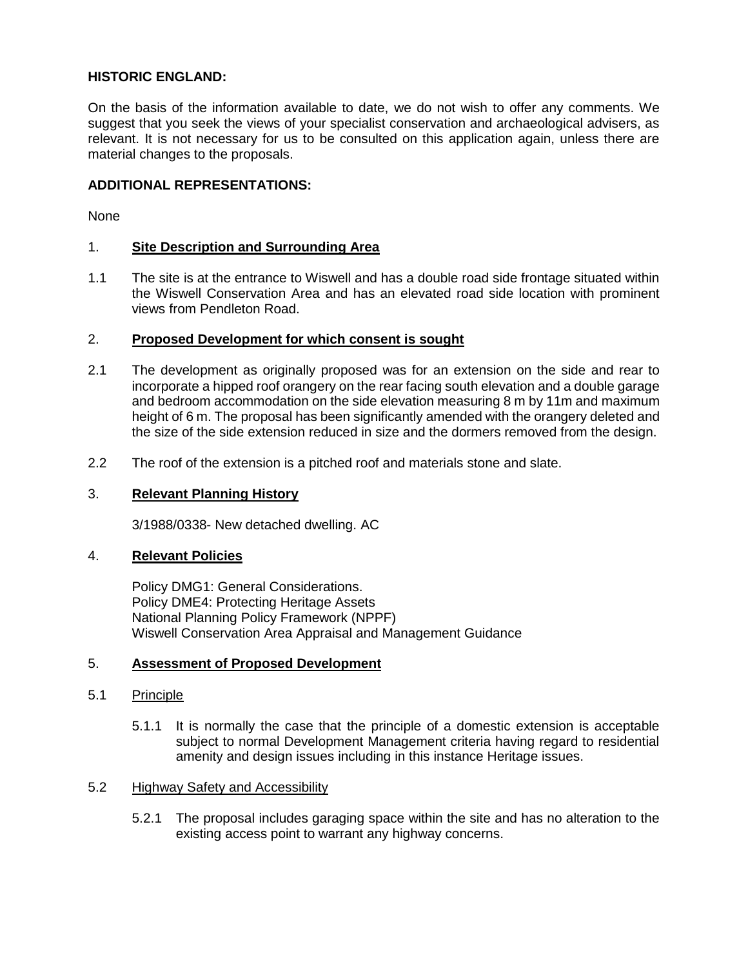## **HISTORIC ENGLAND:**

On the basis of the information available to date, we do not wish to offer any comments. We suggest that you seek the views of your specialist conservation and archaeological advisers, as relevant. It is not necessary for us to be consulted on this application again, unless there are material changes to the proposals.

## **ADDITIONAL REPRESENTATIONS:**

None

## 1. **Site Description and Surrounding Area**

1.1 The site is at the entrance to Wiswell and has a double road side frontage situated within the Wiswell Conservation Area and has an elevated road side location with prominent views from Pendleton Road.

## 2. **Proposed Development for which consent is sought**

- 2.1 The development as originally proposed was for an extension on the side and rear to incorporate a hipped roof orangery on the rear facing south elevation and a double garage and bedroom accommodation on the side elevation measuring 8 m by 11m and maximum height of 6 m. The proposal has been significantly amended with the orangery deleted and the size of the side extension reduced in size and the dormers removed from the design.
- 2.2 The roof of the extension is a pitched roof and materials stone and slate.

#### 3. **Relevant Planning History**

3/1988/0338- New detached dwelling. AC

#### 4. **Relevant Policies**

Policy DMG1: General Considerations. Policy DME4: Protecting Heritage Assets National Planning Policy Framework (NPPF) Wiswell Conservation Area Appraisal and Management Guidance

#### 5. **Assessment of Proposed Development**

#### 5.1 Principle

5.1.1 It is normally the case that the principle of a domestic extension is acceptable subject to normal Development Management criteria having regard to residential amenity and design issues including in this instance Heritage issues.

#### 5.2 Highway Safety and Accessibility

5.2.1 The proposal includes garaging space within the site and has no alteration to the existing access point to warrant any highway concerns.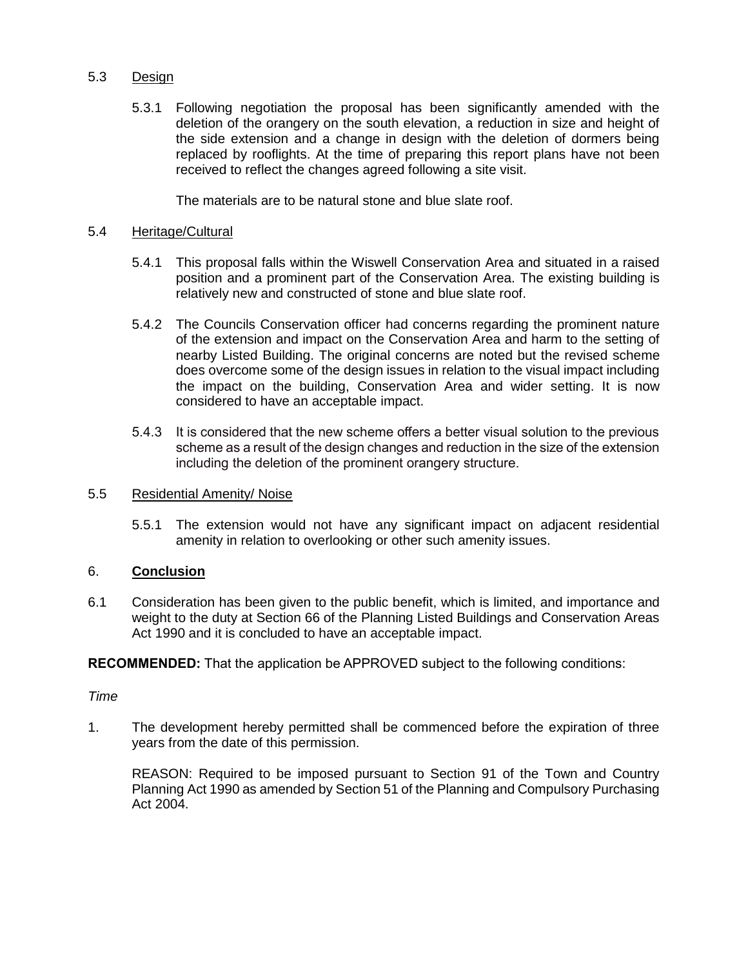## 5.3 Design

5.3.1 Following negotiation the proposal has been significantly amended with the deletion of the orangery on the south elevation, a reduction in size and height of the side extension and a change in design with the deletion of dormers being replaced by rooflights. At the time of preparing this report plans have not been received to reflect the changes agreed following a site visit.

The materials are to be natural stone and blue slate roof.

## 5.4 Heritage/Cultural

- 5.4.1 This proposal falls within the Wiswell Conservation Area and situated in a raised position and a prominent part of the Conservation Area. The existing building is relatively new and constructed of stone and blue slate roof.
- 5.4.2 The Councils Conservation officer had concerns regarding the prominent nature of the extension and impact on the Conservation Area and harm to the setting of nearby Listed Building. The original concerns are noted but the revised scheme does overcome some of the design issues in relation to the visual impact including the impact on the building, Conservation Area and wider setting. It is now considered to have an acceptable impact.
- 5.4.3 It is considered that the new scheme offers a better visual solution to the previous scheme as a result of the design changes and reduction in the size of the extension including the deletion of the prominent orangery structure.

#### 5.5 Residential Amenity/ Noise

5.5.1 The extension would not have any significant impact on adjacent residential amenity in relation to overlooking or other such amenity issues.

## 6. **Conclusion**

6.1 Consideration has been given to the public benefit, which is limited, and importance and weight to the duty at Section 66 of the Planning Listed Buildings and Conservation Areas Act 1990 and it is concluded to have an acceptable impact.

**RECOMMENDED:** That the application be APPROVED subject to the following conditions:

#### *Time*

1. The development hereby permitted shall be commenced before the expiration of three years from the date of this permission.

REASON: Required to be imposed pursuant to Section 91 of the Town and Country Planning Act 1990 as amended by Section 51 of the Planning and Compulsory Purchasing Act 2004.